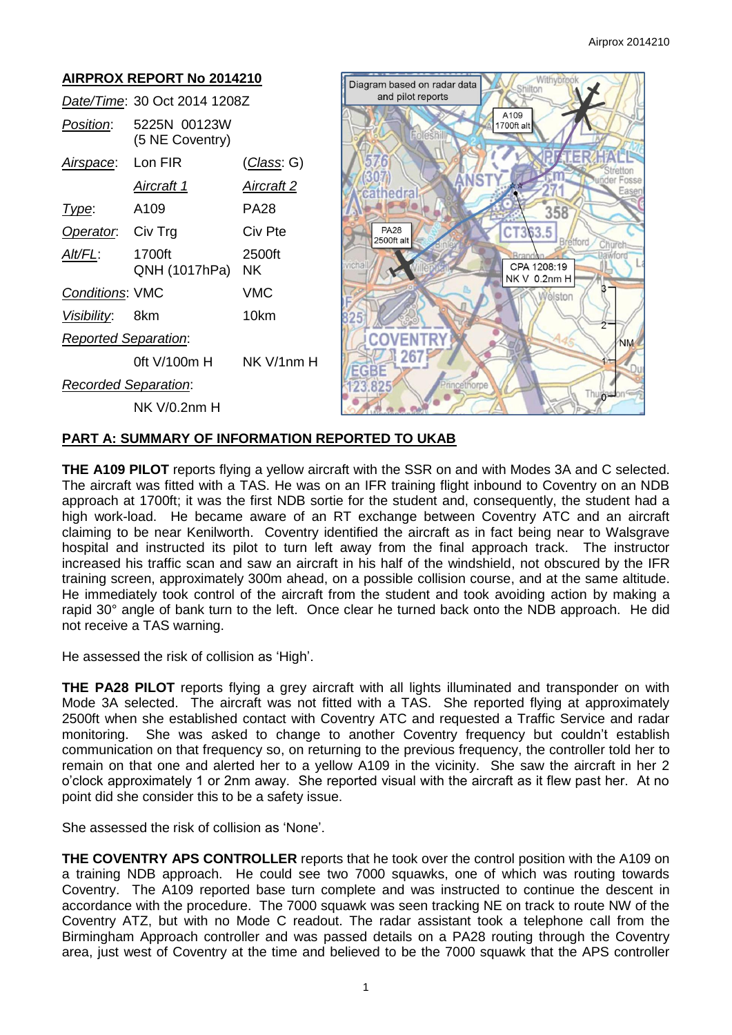

### **PART A: SUMMARY OF INFORMATION REPORTED TO UKAB**

**THE A109 PILOT** reports flying a yellow aircraft with the SSR on and with Modes 3A and C selected. The aircraft was fitted with a TAS. He was on an IFR training flight inbound to Coventry on an NDB approach at 1700ft; it was the first NDB sortie for the student and, consequently, the student had a high work-load. He became aware of an RT exchange between Coventry ATC and an aircraft claiming to be near Kenilworth. Coventry identified the aircraft as in fact being near to Walsgrave hospital and instructed its pilot to turn left away from the final approach track. The instructor increased his traffic scan and saw an aircraft in his half of the windshield, not obscured by the IFR training screen, approximately 300m ahead, on a possible collision course, and at the same altitude. He immediately took control of the aircraft from the student and took avoiding action by making a rapid 30° angle of bank turn to the left. Once clear he turned back onto the NDB approach. He did not receive a TAS warning.

He assessed the risk of collision as 'High'.

**THE PA28 PILOT** reports flying a grey aircraft with all lights illuminated and transponder on with Mode 3A selected. The aircraft was not fitted with a TAS. She reported flying at approximately 2500ft when she established contact with Coventry ATC and requested a Traffic Service and radar monitoring. She was asked to change to another Coventry frequency but couldn't establish communication on that frequency so, on returning to the previous frequency, the controller told her to remain on that one and alerted her to a yellow A109 in the vicinity. She saw the aircraft in her 2 o'clock approximately 1 or 2nm away. She reported visual with the aircraft as it flew past her. At no point did she consider this to be a safety issue.

She assessed the risk of collision as 'None'.

**THE COVENTRY APS CONTROLLER** reports that he took over the control position with the A109 on a training NDB approach. He could see two 7000 squawks, one of which was routing towards Coventry. The A109 reported base turn complete and was instructed to continue the descent in accordance with the procedure. The 7000 squawk was seen tracking NE on track to route NW of the Coventry ATZ, but with no Mode C readout. The radar assistant took a telephone call from the Birmingham Approach controller and was passed details on a PA28 routing through the Coventry area, just west of Coventry at the time and believed to be the 7000 squawk that the APS controller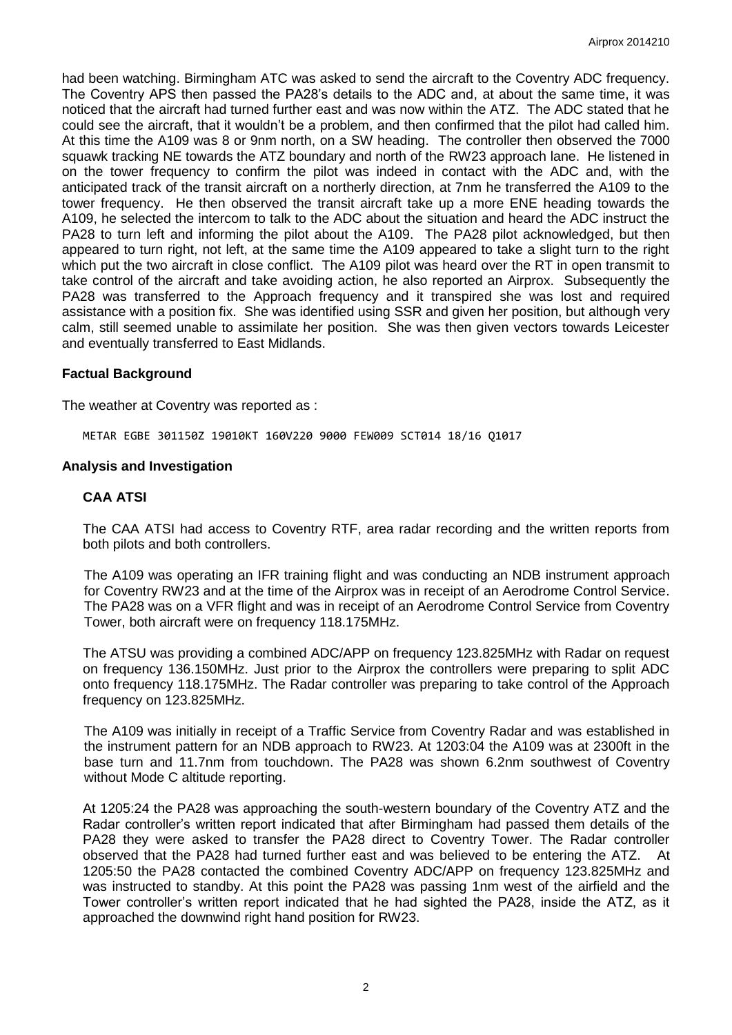had been watching. Birmingham ATC was asked to send the aircraft to the Coventry ADC frequency. The Coventry APS then passed the PA28's details to the ADC and, at about the same time, it was noticed that the aircraft had turned further east and was now within the ATZ. The ADC stated that he could see the aircraft, that it wouldn't be a problem, and then confirmed that the pilot had called him. At this time the A109 was 8 or 9nm north, on a SW heading. The controller then observed the 7000 squawk tracking NE towards the ATZ boundary and north of the RW23 approach lane. He listened in on the tower frequency to confirm the pilot was indeed in contact with the ADC and, with the anticipated track of the transit aircraft on a northerly direction, at 7nm he transferred the A109 to the tower frequency. He then observed the transit aircraft take up a more ENE heading towards the A109, he selected the intercom to talk to the ADC about the situation and heard the ADC instruct the PA28 to turn left and informing the pilot about the A109. The PA28 pilot acknowledged, but then appeared to turn right, not left, at the same time the A109 appeared to take a slight turn to the right which put the two aircraft in close conflict. The A109 pilot was heard over the RT in open transmit to take control of the aircraft and take avoiding action, he also reported an Airprox. Subsequently the PA28 was transferred to the Approach frequency and it transpired she was lost and required assistance with a position fix. She was identified using SSR and given her position, but although very calm, still seemed unable to assimilate her position. She was then given vectors towards Leicester and eventually transferred to East Midlands.

### **Factual Background**

The weather at Coventry was reported as :

METAR EGBE 301150Z 19010KT 160V220 9000 FEW009 SCT014 18/16 Q1017

### **Analysis and Investigation**

### **CAA ATSI**

The CAA ATSI had access to Coventry RTF, area radar recording and the written reports from both pilots and both controllers.

The A109 was operating an IFR training flight and was conducting an NDB instrument approach for Coventry RW23 and at the time of the Airprox was in receipt of an Aerodrome Control Service. The PA28 was on a VFR flight and was in receipt of an Aerodrome Control Service from Coventry Tower, both aircraft were on frequency 118.175MHz.

The ATSU was providing a combined ADC/APP on frequency 123.825MHz with Radar on request on frequency 136.150MHz. Just prior to the Airprox the controllers were preparing to split ADC onto frequency 118.175MHz. The Radar controller was preparing to take control of the Approach frequency on 123.825MHz.

The A109 was initially in receipt of a Traffic Service from Coventry Radar and was established in the instrument pattern for an NDB approach to RW23. At 1203:04 the A109 was at 2300ft in the base turn and 11.7nm from touchdown. The PA28 was shown 6.2nm southwest of Coventry without Mode C altitude reporting.

At 1205:24 the PA28 was approaching the south-western boundary of the Coventry ATZ and the Radar controller's written report indicated that after Birmingham had passed them details of the PA28 they were asked to transfer the PA28 direct to Coventry Tower. The Radar controller observed that the PA28 had turned further east and was believed to be entering the ATZ. At 1205:50 the PA28 contacted the combined Coventry ADC/APP on frequency 123.825MHz and was instructed to standby. At this point the PA28 was passing 1nm west of the airfield and the Tower controller's written report indicated that he had sighted the PA28, inside the ATZ, as it approached the downwind right hand position for RW23.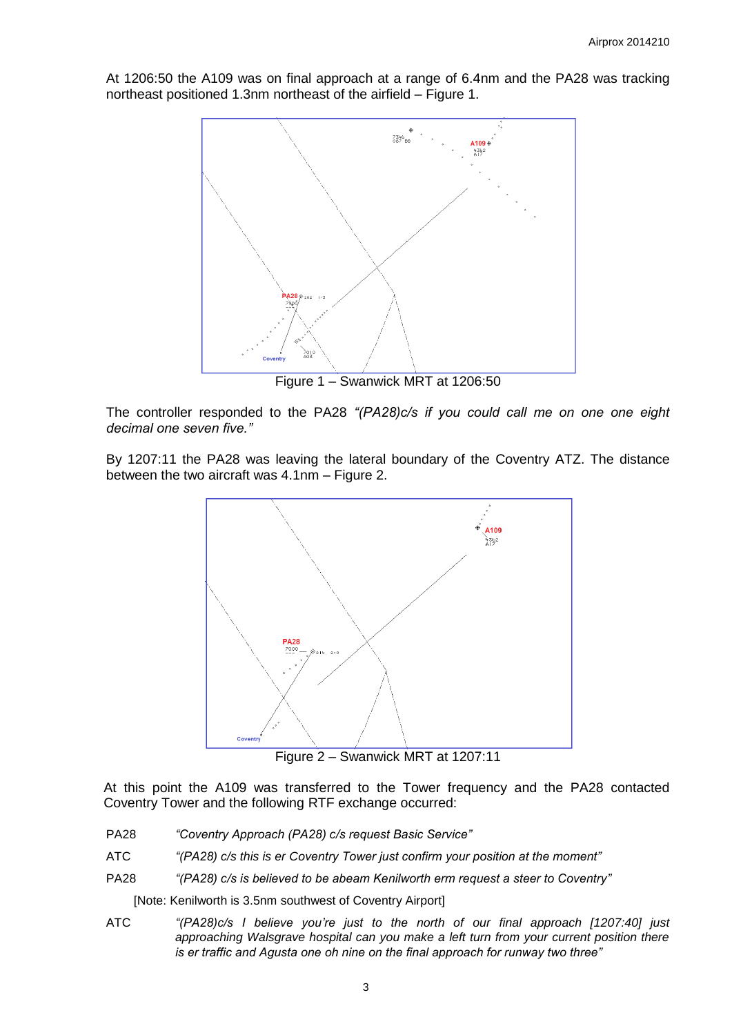At 1206:50 the A109 was on final approach at a range of 6.4nm and the PA28 was tracking northeast positioned 1.3nm northeast of the airfield – Figure 1.



Figure 1 – Swanwick MRT at 1206:50

The controller responded to the PA28 *"(PA28)c/s if you could call me on one one eight decimal one seven five."*

By 1207:11 the PA28 was leaving the lateral boundary of the Coventry ATZ. The distance between the two aircraft was 4.1nm – Figure 2.



Figure 2 – Swanwick MRT at 1207:11

At this point the A109 was transferred to the Tower frequency and the PA28 contacted Coventry Tower and the following RTF exchange occurred:

- PA28 *"Coventry Approach (PA28) c/s request Basic Service"*
- ATC *"(PA28) c/s this is er Coventry Tower just confirm your position at the moment"*
- PA28 *"(PA28) c/s is believed to be abeam Kenilworth erm request a steer to Coventry"*

[Note: Kenilworth is 3.5nm southwest of Coventry Airport]

ATC *"(PA28)c/s I believe you're just to the north of our final approach [1207:40] just approaching Walsgrave hospital can you make a left turn from your current position there is er traffic and Agusta one oh nine on the final approach for runway two three"*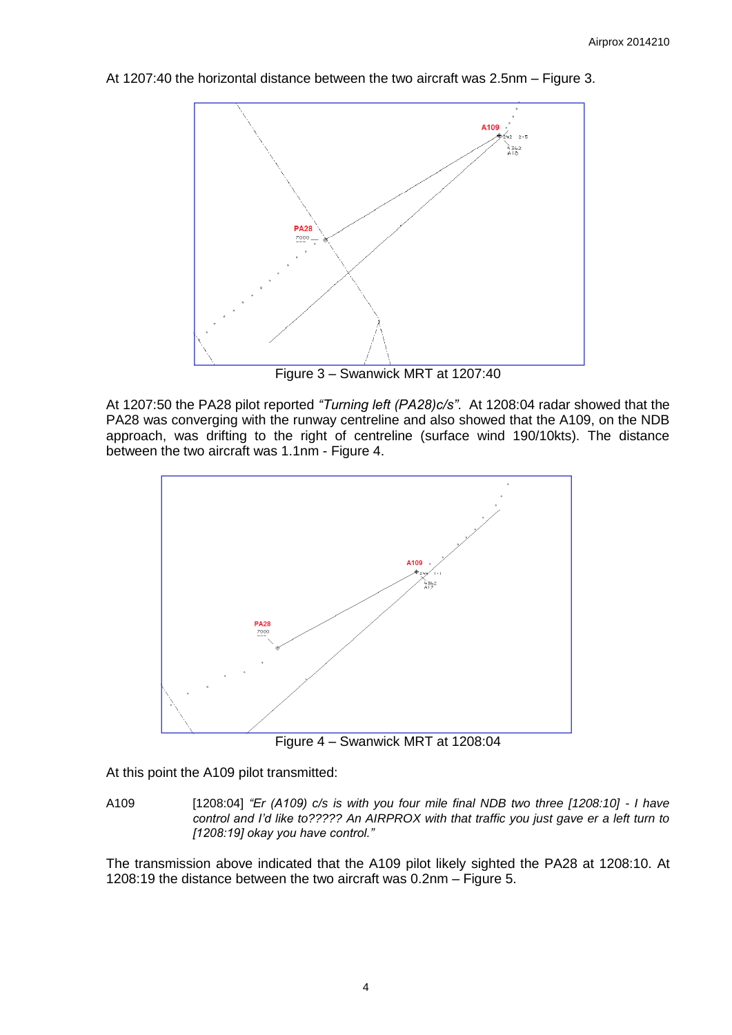At 1207:40 the horizontal distance between the two aircraft was 2.5nm – Figure 3.



Figure 3 – Swanwick MRT at 1207:40

At 1207:50 the PA28 pilot reported *"Turning left (PA28)c/s"*. At 1208:04 radar showed that the PA28 was converging with the runway centreline and also showed that the A109, on the NDB approach, was drifting to the right of centreline (surface wind 190/10kts). The distance between the two aircraft was 1.1nm - Figure 4.



Figure 4 – Swanwick MRT at 1208:04

At this point the A109 pilot transmitted:

A109 [1208:04] *"Er (A109) c/s is with you four mile final NDB two three [1208:10] - I have control and I'd like to????? An AIRPROX with that traffic you just gave er a left turn to [1208:19] okay you have control."* 

The transmission above indicated that the A109 pilot likely sighted the PA28 at 1208:10. At 1208:19 the distance between the two aircraft was 0.2nm – Figure 5.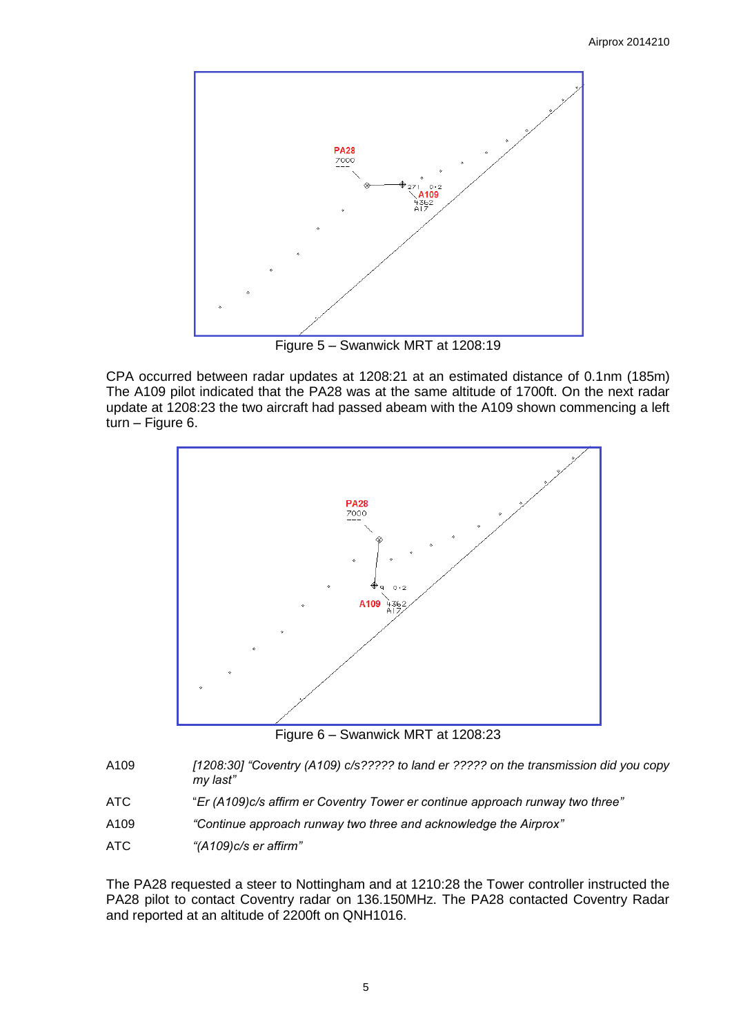

Figure 5 – Swanwick MRT at 1208:19

CPA occurred between radar updates at 1208:21 at an estimated distance of 0.1nm (185m) The A109 pilot indicated that the PA28 was at the same altitude of 1700ft. On the next radar update at 1208:23 the two aircraft had passed abeam with the A109 shown commencing a left turn – Figure 6.



Figure 6 – Swanwick MRT at 1208:23

- A109 *[1208:30] "Coventry (A109) c/s????? to land er ????? on the transmission did you copy my last"*
- ATC "*Er (A109)c/s affirm er Coventry Tower er continue approach runway two three"*
- A109 *"Continue approach runway two three and acknowledge the Airprox"*
- ATC *"(A109)c/s er affirm"*

The PA28 requested a steer to Nottingham and at 1210:28 the Tower controller instructed the PA28 pilot to contact Coventry radar on 136.150MHz. The PA28 contacted Coventry Radar and reported at an altitude of 2200ft on QNH1016.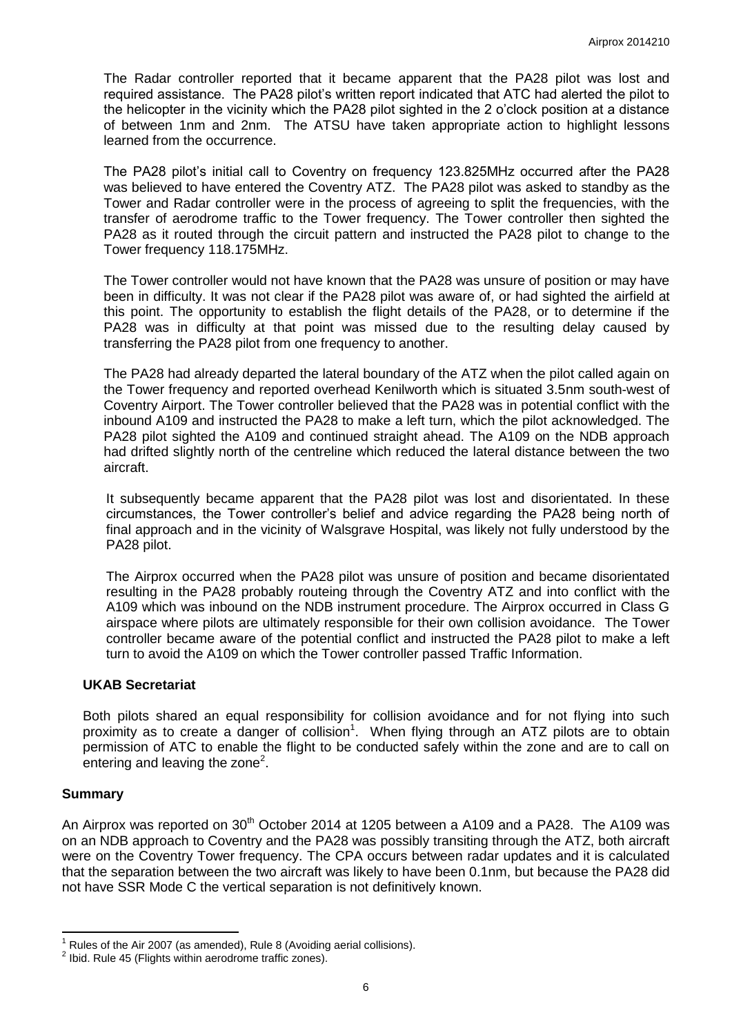The Radar controller reported that it became apparent that the PA28 pilot was lost and required assistance. The PA28 pilot's written report indicated that ATC had alerted the pilot to the helicopter in the vicinity which the PA28 pilot sighted in the 2 o'clock position at a distance of between 1nm and 2nm. The ATSU have taken appropriate action to highlight lessons learned from the occurrence.

The PA28 pilot's initial call to Coventry on frequency 123.825MHz occurred after the PA28 was believed to have entered the Coventry ATZ. The PA28 pilot was asked to standby as the Tower and Radar controller were in the process of agreeing to split the frequencies, with the transfer of aerodrome traffic to the Tower frequency. The Tower controller then sighted the PA28 as it routed through the circuit pattern and instructed the PA28 pilot to change to the Tower frequency 118.175MHz.

The Tower controller would not have known that the PA28 was unsure of position or may have been in difficulty. It was not clear if the PA28 pilot was aware of, or had sighted the airfield at this point. The opportunity to establish the flight details of the PA28, or to determine if the PA28 was in difficulty at that point was missed due to the resulting delay caused by transferring the PA28 pilot from one frequency to another.

The PA28 had already departed the lateral boundary of the ATZ when the pilot called again on the Tower frequency and reported overhead Kenilworth which is situated 3.5nm south-west of Coventry Airport. The Tower controller believed that the PA28 was in potential conflict with the inbound A109 and instructed the PA28 to make a left turn, which the pilot acknowledged. The PA28 pilot sighted the A109 and continued straight ahead. The A109 on the NDB approach had drifted slightly north of the centreline which reduced the lateral distance between the two aircraft.

It subsequently became apparent that the PA28 pilot was lost and disorientated. In these circumstances, the Tower controller's belief and advice regarding the PA28 being north of final approach and in the vicinity of Walsgrave Hospital, was likely not fully understood by the PA28 pilot.

The Airprox occurred when the PA28 pilot was unsure of position and became disorientated resulting in the PA28 probably routeing through the Coventry ATZ and into conflict with the A109 which was inbound on the NDB instrument procedure. The Airprox occurred in Class G airspace where pilots are ultimately responsible for their own collision avoidance. The Tower controller became aware of the potential conflict and instructed the PA28 pilot to make a left turn to avoid the A109 on which the Tower controller passed Traffic Information.

### **UKAB Secretariat**

Both pilots shared an equal responsibility for collision avoidance and for not flying into such proximity as to create a danger of collision<sup>1</sup>. When flying through an ATZ pilots are to obtain permission of ATC to enable the flight to be conducted safely within the zone and are to call on entering and leaving the zone $2$ .

# **Summary**

 $\overline{\phantom{a}}$ 

An Airprox was reported on  $30<sup>th</sup>$  October 2014 at 1205 between a A109 and a PA28. The A109 was on an NDB approach to Coventry and the PA28 was possibly transiting through the ATZ, both aircraft were on the Coventry Tower frequency. The CPA occurs between radar updates and it is calculated that the separation between the two aircraft was likely to have been 0.1nm, but because the PA28 did not have SSR Mode C the vertical separation is not definitively known.

<sup>1</sup> Rules of the Air 2007 (as amended), Rule 8 (Avoiding aerial collisions).

 $2$  Ibid. Rule 45 (Flights within aerodrome traffic zones).